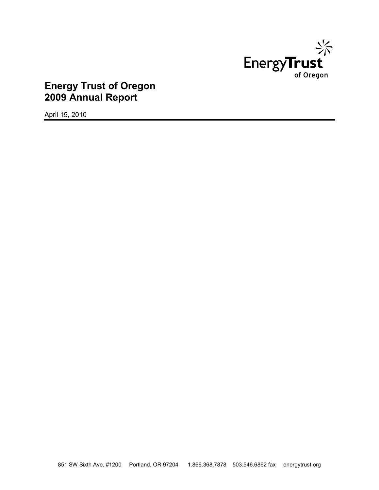

# **Energy Trust of Oregon 2009 Annual Report**

April 15, 2010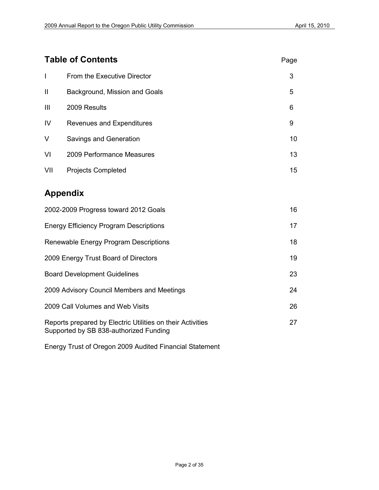# **Table of Contents** Page

| $\mathsf{l}$                                  | From the Executive Director   | 3  |
|-----------------------------------------------|-------------------------------|----|
| $\mathbf{I}$                                  | Background, Mission and Goals | 5  |
| Ш                                             | 2009 Results                  | 6  |
| IV                                            | Revenues and Expenditures     | 9  |
| V                                             | Savings and Generation        | 10 |
| VI                                            | 2009 Performance Measures     | 13 |
| VII                                           | <b>Projects Completed</b>     | 15 |
|                                               | <b>Appendix</b>               |    |
| 2002-2009 Progress toward 2012 Goals          |                               |    |
| <b>Energy Efficiency Program Descriptions</b> |                               |    |
| Renewable Energy Program Descriptions         |                               |    |
| 2009 Energy Trust Board of Directors<br>19    |                               |    |

| 2002-2009 Progress toward 2012 Goals                                                                 | 16 |
|------------------------------------------------------------------------------------------------------|----|
| <b>Energy Efficiency Program Descriptions</b>                                                        | 17 |
| Renewable Energy Program Descriptions                                                                | 18 |
| 2009 Energy Trust Board of Directors                                                                 | 19 |
| <b>Board Development Guidelines</b>                                                                  | 23 |
| 2009 Advisory Council Members and Meetings                                                           | 24 |
| 2009 Call Volumes and Web Visits                                                                     | 26 |
| Reports prepared by Electric Utilities on their Activities<br>Supported by SB 838-authorized Funding | 27 |

Energy Trust of Oregon 2009 Audited Financial Statement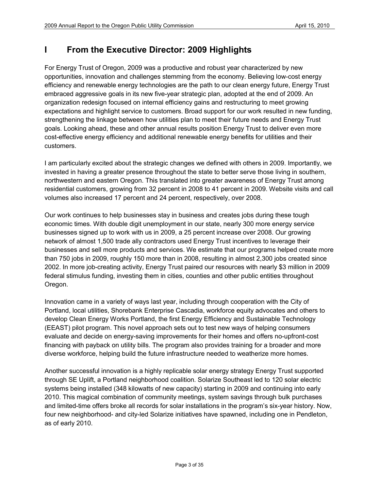# **I From the Executive Director: 2009 Highlights**

For Energy Trust of Oregon, 2009 was a productive and robust year characterized by new opportunities, innovation and challenges stemming from the economy. Believing low-cost energy efficiency and renewable energy technologies are the path to our clean energy future, Energy Trust embraced aggressive goals in its new five-year strategic plan, adopted at the end of 2009. An organization redesign focused on internal efficiency gains and restructuring to meet growing expectations and highlight service to customers. Broad support for our work resulted in new funding, strengthening the linkage between how utilities plan to meet their future needs and Energy Trust goals. Looking ahead, these and other annual results position Energy Trust to deliver even more cost-effective energy efficiency and additional renewable energy benefits for utilities and their customers.

I am particularly excited about the strategic changes we defined with others in 2009. Importantly, we invested in having a greater presence throughout the state to better serve those living in southern, northwestern and eastern Oregon. This translated into greater awareness of Energy Trust among residential customers, growing from 32 percent in 2008 to 41 percent in 2009. Website visits and call volumes also increased 17 percent and 24 percent, respectively, over 2008.

Our work continues to help businesses stay in business and creates jobs during these tough economic times. With double digit unemployment in our state, nearly 300 more energy service businesses signed up to work with us in 2009, a 25 percent increase over 2008. Our growing network of almost 1,500 trade ally contractors used Energy Trust incentives to leverage their businesses and sell more products and services. We estimate that our programs helped create more than 750 jobs in 2009, roughly 150 more than in 2008, resulting in almost 2,300 jobs created since 2002. In more job-creating activity, Energy Trust paired our resources with nearly \$3 million in 2009 federal stimulus funding, investing them in cities, counties and other public entities throughout Oregon.

Innovation came in a variety of ways last year, including through cooperation with the City of Portland, local utilities, Shorebank Enterprise Cascadia, workforce equity advocates and others to develop Clean Energy Works Portland, the first Energy Efficiency and Sustainable Technology (EEAST) pilot program. This novel approach sets out to test new ways of helping consumers evaluate and decide on energy-saving improvements for their homes and offers no-upfront-cost financing with payback on utility bills. The program also provides training for a broader and more diverse workforce, helping build the future infrastructure needed to weatherize more homes.

Another successful innovation is a highly replicable solar energy strategy Energy Trust supported through SE Uplift, a Portland neighborhood coalition. Solarize Southeast led to 120 solar electric systems being installed (348 kilowatts of new capacity) starting in 2009 and continuing into early 2010. This magical combination of community meetings, system savings through bulk purchases and limited-time offers broke all records for solar installations in the program's six-year history. Now, four new neighborhood- and city-led Solarize initiatives have spawned, including one in Pendleton, as of early 2010.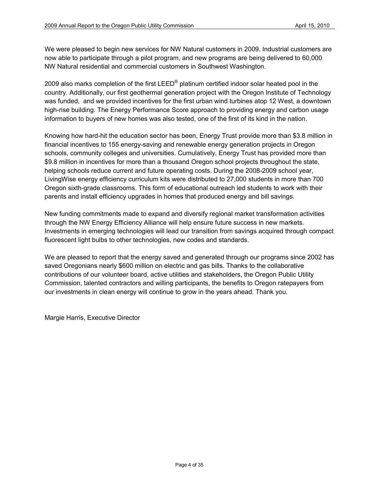We were pleased to begin new services for NW Natural customers in 2009. Industrial customers are now able to participate through a pilot program, and new programs are being delivered to 60,000 NW Natural residential and commercial customers in Southwest Washington.

2009 also marks completion of the first LEED<sup>®</sup> platinum certified indoor solar heated pool in the country. Additionally, our first geothermal generation project with the Oregon Institute of Technology was funded, and we provided incentives for the first urban wind turbines atop 12 West, a downtown high-rise building. The Energy Performance Score approach to providing energy and carbon usage information to buyers of new homes was also tested, one of the first of its kind in the nation.

Knowing how hard-hit the education sector has been, Energy Trust provide more than \$3.8 million in financial incentives to 155 energy-saving and renewable energy generation projects in Oregon schools, community colleges and universities. Cumulatively, Energy Trust has provided more than \$9.8 million in incentives for more than a thousand Oregon school projects throughout the state, helping schools reduce current and future operating costs. During the 2008-2009 school year, LivingWise energy efficiency curriculum kits were distributed to 27,000 students in more than 700 Oregon sixth-grade classrooms. This form of educational outreach led students to work with their parents and install efficiency upgrades in homes that produced energy and bill savings.

New funding commitments made to expand and diversify regional market transformation activities through the NW Energy Efficiency Alliance will help ensure future success in new markets. Investments in emerging technologies will lead our transition from savings acquired through compact fluorescent light bulbs to other technologies, new codes and standards.

We are pleased to report that the energy saved and generated through our programs since 2002 has saved Oregonians nearly \$600 million on electric and gas bills. Thanks to the collaborative contributions of our volunteer board, active utilities and stakeholders, the Oregon Public Utility Commission, talented contractors and willing participants, the benefits to Oregon ratepayers from our investments in clean energy will continue to grow in the years ahead. Thank you.

Margie Harris, Executive Director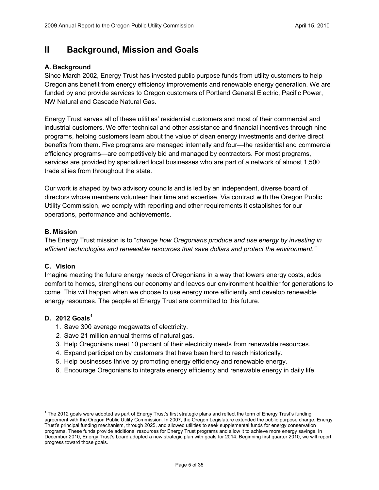# **II Background, Mission and Goals**

### **A. Background**

Since March 2002, Energy Trust has invested public purpose funds from utility customers to help Oregonians benefit from energy efficiency improvements and renewable energy generation. We are funded by and provide services to Oregon customers of Portland General Electric, Pacific Power, NW Natural and Cascade Natural Gas.

Energy Trust serves all of these utilities' residential customers and most of their commercial and industrial customers. We offer technical and other assistance and financial incentives through nine programs, helping customers learn about the value of clean energy investments and derive direct benefits from them. Five programs are managed internally and four—the residential and commercial efficiency programs—are competitively bid and managed by contractors. For most programs, services are provided by specialized local businesses who are part of a network of almost 1,500 trade allies from throughout the state.

Our work is shaped by two advisory councils and is led by an independent, diverse board of directors whose members volunteer their time and expertise. Via contract with the Oregon Public Utility Commission, we comply with reporting and other requirements it establishes for our operations, performance and achievements.

### **B. Mission**

The Energy Trust mission is to "*change how Oregonians produce and use energy by investing in efficient technologies and renewable resources that save dollars and protect the environment."* 

### **C. Vision**

Imagine meeting the future energy needs of Oregonians in a way that lowers energy costs, adds comfort to homes, strengthens our economy and leaves our environment healthier for generations to come. This will happen when we choose to use energy more efficiently and develop renewable energy resources. The people at Energy Trust are committed to this future.

### **D. 2012 Goals[1](#page-4-0)**

- 1. Save 300 average megawatts of electricity.
- *2.* Save 21 million annual therms of natural gas.
- 3. Help Oregonians meet 10 percent of their electricity needs from renewable resources.
- 4. Expand participation by customers that have been hard to reach historically.
- 5. Help businesses thrive by promoting energy efficiency and renewable energy.
- 6. Encourage Oregonians to integrate energy efficiency and renewable energy in daily life.

<span id="page-4-0"></span><sup>&</sup>lt;sup>1</sup> The 2012 goals were adopted as part of Energy Trust's first strategic plans and reflect the term of Energy Trust's funding agreement with the Oregon Public Utility Commission. In 2007, the Oregon Legislature extended the public purpose charge, Energy Trust's principal funding mechanism, through 2025, and allowed utilities to seek supplemental funds for energy conservation programs. These funds provide additional resources for Energy Trust programs and allow it to achieve more energy savings. In December 2010, Energy Trust's board adopted a new strategic plan with goals for 2014. Beginning first quarter 2010, we will report progress toward those goals.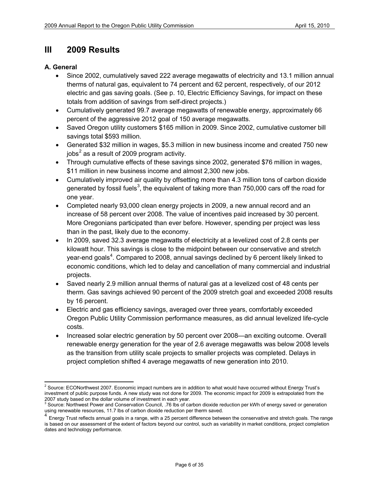# **III 2009 Results**

### **A. General**

- Since 2002, cumulatively saved 222 average megawatts of electricity and 13.1 million annual therms of natural gas, equivalent to 74 percent and 62 percent, respectively, of our 2012 electric and gas saving goals. (See p. 10, Electric Efficiency Savings, for impact on these totals from addition of savings from self-direct projects.)
- Cumulatively generated 99.7 average megawatts of renewable energy, approximately 66 percent of the aggressive 2012 goal of 150 average megawatts.
- Saved Oregon utility customers \$165 million in 2009. Since 2002, cumulative customer bill savings total \$593 million.
- Generated \$32 million in wages, \$5.3 million in new business income and created 750 new jobs $^2$  $^2$  as a result of 2009 program activity.
- Through cumulative effects of these savings since 2002, generated \$76 million in wages, \$11 million in new business income and almost 2,300 new jobs.
- Cumulatively improved air quality by offsetting more than 4.3 million tons of carbon dioxide generated by fossil fuels<sup>[3](#page-5-1)</sup>, the equivalent of taking more than 750,000 cars off the road for one year.
- Completed nearly 93,000 clean energy projects in 2009, a new annual record and an increase of 58 percent over 2008. The value of incentives paid increased by 30 percent. More Oregonians participated than ever before. However, spending per project was less than in the past, likely due to the economy.
- In 2009, saved 32.3 average megawatts of electricity at a levelized cost of 2.8 cents per kilowatt hour. This savings is close to the midpoint between our conservative and stretch year-end goals<sup>[4](#page-5-2)</sup>. Compared to 2008, annual savings declined by 6 percent likely linked to economic conditions, which led to delay and cancellation of many commercial and industrial projects.
- Saved nearly 2.9 million annual therms of natural gas at a levelized cost of 48 cents per therm. Gas savings achieved 90 percent of the 2009 stretch goal and exceeded 2008 results by 16 percent.
- Electric and gas efficiency savings, averaged over three years, comfortably exceeded Oregon Public Utility Commission performance measures, as did annual levelized life-cycle costs.
- Increased solar electric generation by 50 percent over 2008—an exciting outcome. Overall renewable energy generation for the year of 2.6 average megawatts was below 2008 levels as the transition from utility scale projects to smaller projects was completed. Delays in project completion shifted 4 average megawatts of new generation into 2010.

<span id="page-5-0"></span><sup>&</sup>lt;sup>2</sup> Source: ECONorthwest 2007. Economic impact numbers are in addition to what would have occurred without Energy Trust's investment of public purpose funds. A new study was not done for 2009. The economic impact for 2009 is extrapolated from the 2007 study based on the dollar volume of investment in each year.<br><sup>3</sup> Source: Northwest Power and Conservation Council, .76 lbs of carbon dioxide reduction per kWh of energy saved or generation

<span id="page-5-1"></span>using renewable resources, 11.7 lbs of carbon dioxide reduction per therm saved.

<span id="page-5-2"></span> $^4$  Energy Trust reflects annual goals in a range, with a 25 percent difference between the conservative and stretch goals. The range is based on our assessment of the extent of factors beyond our control, such as variability in market conditions, project completion dates and technology performance.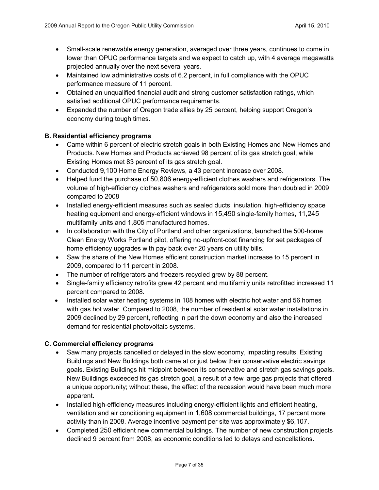- Small-scale renewable energy generation, averaged over three years, continues to come in lower than OPUC performance targets and we expect to catch up, with 4 average megawatts projected annually over the next several years.
- Maintained low administrative costs of 6.2 percent, in full compliance with the OPUC performance measure of 11 percent.
- Obtained an unqualified financial audit and strong customer satisfaction ratings, which satisfied additional OPUC performance requirements.
- Expanded the number of Oregon trade allies by 25 percent, helping support Oregon's economy during tough times.

# **B. Residential efficiency programs**

- Came within 6 percent of electric stretch goals in both Existing Homes and New Homes and Products. New Homes and Products achieved 98 percent of its gas stretch goal, while Existing Homes met 83 percent of its gas stretch goal.
- Conducted 9,100 Home Energy Reviews, a 43 percent increase over 2008.
- Helped fund the purchase of 50,806 energy-efficient clothes washers and refrigerators. The volume of high-efficiency clothes washers and refrigerators sold more than doubled in 2009 compared to 2008
- Installed energy-efficient measures such as sealed ducts, insulation, high-efficiency space heating equipment and energy-efficient windows in 15,490 single-family homes, 11,245 multifamily units and 1,805 manufactured homes.
- In collaboration with the City of Portland and other organizations, launched the 500-home Clean Energy Works Portland pilot, offering no-upfront-cost financing for set packages of home efficiency upgrades with pay back over 20 years on utility bills.
- Saw the share of the New Homes efficient construction market increase to 15 percent in 2009, compared to 11 percent in 2008.
- The number of refrigerators and freezers recycled grew by 88 percent.
- Single-family efficiency retrofits grew 42 percent and multifamily units retrofitted increased 11 percent compared to 2008.
- Installed solar water heating systems in 108 homes with electric hot water and 56 homes with gas hot water. Compared to 2008, the number of residential solar water installations in 2009 declined by 29 percent, reflecting in part the down economy and also the increased demand for residential photovoltaic systems.

### **C. Commercial efficiency programs**

- Saw many projects cancelled or delayed in the slow economy, impacting results. Existing Buildings and New Buildings both came at or just below their conservative electric savings goals. Existing Buildings hit midpoint between its conservative and stretch gas savings goals. New Buildings exceeded its gas stretch goal, a result of a few large gas projects that offered a unique opportunity; without these, the effect of the recession would have been much more apparent.
- Installed high-efficiency measures including energy-efficient lights and efficient heating, ventilation and air conditioning equipment in 1,608 commercial buildings, 17 percent more activity than in 2008. Average incentive payment per site was approximately \$6,107.
- Completed 250 efficient new commercial buildings. The number of new construction projects declined 9 percent from 2008, as economic conditions led to delays and cancellations.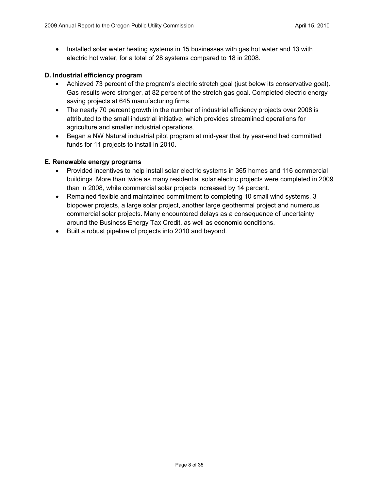• Installed solar water heating systems in 15 businesses with gas hot water and 13 with electric hot water, for a total of 28 systems compared to 18 in 2008.

# **D. Industrial efficiency program**

- Achieved 73 percent of the program's electric stretch goal (just below its conservative goal). Gas results were stronger, at 82 percent of the stretch gas goal. Completed electric energy saving projects at 645 manufacturing firms.
- The nearly 70 percent growth in the number of industrial efficiency projects over 2008 is attributed to the small industrial initiative, which provides streamlined operations for agriculture and smaller industrial operations.
- Began a NW Natural industrial pilot program at mid-year that by year-end had committed funds for 11 projects to install in 2010.

### **E. Renewable energy programs**

- Provided incentives to help install solar electric systems in 365 homes and 116 commercial buildings. More than twice as many residential solar electric projects were completed in 2009 than in 2008, while commercial solar projects increased by 14 percent.
- Remained flexible and maintained commitment to completing 10 small wind systems, 3 biopower projects, a large solar project, another large geothermal project and numerous commercial solar projects. Many encountered delays as a consequence of uncertainty around the Business Energy Tax Credit, as well as economic conditions.
- Built a robust pipeline of projects into 2010 and beyond.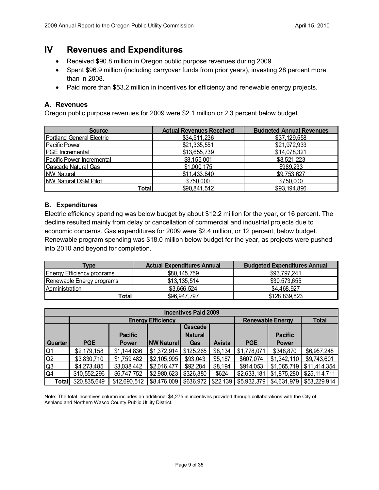# **IV Revenues and Expenditures**

- Received \$90.8 million in Oregon public purpose revenues during 2009.
- Spent \$96.9 million (including carryover funds from prior years), investing 28 percent more than in 2008.
- Paid more than \$53.2 million in incentives for efficiency and renewable energy projects.

# **A. Revenues**

Oregon public purpose revenues for 2009 were \$2.1 million or 2.3 percent below budget.

| <b>Source</b>                    | <b>Actual Revenues Received</b> | <b>Budgeted Annual Revenues</b> |
|----------------------------------|---------------------------------|---------------------------------|
| <b>Portland General Electric</b> | \$34,511,236                    | \$37,129,558                    |
| <b>Pacific Power</b>             | \$21,335,551                    | \$21,972,933                    |
| <b>PGE</b> Incremental           | \$13,655,739                    | \$14,078,321                    |
| Pacific Power Incremental        | \$8,155,001                     | \$8,521,223                     |
| Cascade Natural Gas              | \$1,000,175                     | \$989,233                       |
| <b>NW Natural</b>                | \$11,433,840                    | \$9,753,627                     |
| <b>NW Natural DSM Pilot</b>      | \$750,000                       | \$750,000                       |
| Total                            | \$90,841,542                    | \$93,194,896                    |

# **B. Expenditures**

Electric efficiency spending was below budget by about \$12.2 million for the year, or 16 percent. The decline resulted mainly from delay or cancellation of commercial and industrial projects due to economic concerns. Gas expenditures for 2009 were \$2.4 million, or 12 percent, below budget. Renewable program spending was \$18.0 million below budget for the year, as projects were pushed into 2010 and beyond for completion.

| <b>Type</b>                | <b>Actual Expenditures Annual</b> | <b>Budgeted Expenditures Annual</b> |
|----------------------------|-----------------------------------|-------------------------------------|
| Energy Efficiency programs | \$80,145,759                      | \$93,797,241                        |
| Renewable Energy programs  | \$13,135,514                      | \$30,573,655                        |
| <b>Administration</b>      | \$3,666,524                       | \$4,468,927                         |
| Total∣                     | \$96,947,797                      | \$128,839,823                       |

| <b>Incentives Paid 2009</b> |              |                |                          |                |          |                         |                |              |
|-----------------------------|--------------|----------------|--------------------------|----------------|----------|-------------------------|----------------|--------------|
|                             |              |                | <b>Energy Efficiency</b> |                |          | <b>Renewable Energy</b> | <b>Total</b>   |              |
|                             |              |                |                          | Cascade        |          |                         |                |              |
|                             |              | <b>Pacific</b> |                          | <b>Natural</b> |          |                         | <b>Pacific</b> |              |
| Quarter <sup>1</sup>        | <b>PGE</b>   | <b>Power</b>   | <b>NW Natural</b>        | Gas            | Avista   | <b>PGE</b>              | <b>Power</b>   |              |
| Q1                          | \$2,179,158  | \$1,144,836    | \$1,372,914              | \$125,265      | \$8,134  | \$1,778,071             | \$348,870      | \$6,957,248  |
| Q2                          | \$3,830,710  | \$1,759,482    | \$2,105,995              | \$93,043       | \$5,187  | \$607,074               | \$1,342,110    | \$9,743,601  |
| Q3                          | \$4,273,485  | \$3,038,442    | \$2,016,477              | \$92,284       | \$8,194  | \$914,053               | \$1,065,719    | \$11,414,354 |
| $\overline{Q4}$             | \$10,552,296 | \$6,747,752    | \$2,980,623              | \$326,380      | \$624    | \$2,633,181             | \$1,875,280    | \$25,114,711 |
| Total                       | \$20,835,649 | \$12,690,512   | \$8,476,009              | \$636,972      | \$22,139 | \$5,932,379             | \$4,631,979    | \$53,229,914 |

Note: The total incentives column includes an additional \$4,275 in incentives provided through collaborations with the City of Ashland and Northern Wasco County Public Utility District.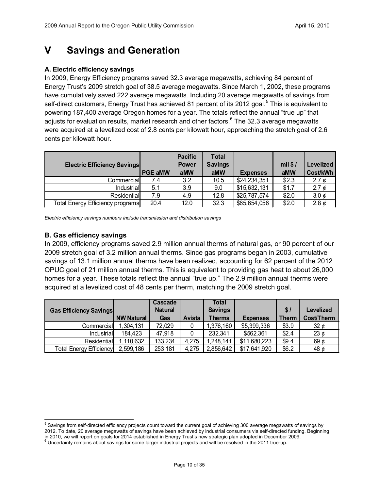# **V Savings and Generation**

### **A. Electric efficiency savings**

In 2009, Energy Efficiency programs saved 32.3 average megawatts, achieving 84 percent of Energy Trust's 2009 stretch goal of 38.5 average megawatts. Since March 1, 2002, these programs have cumulatively saved 222 average megawatts. Including 20 average megawatts of savings from self-direct customers, Energy Trust has achieved 81 percent of its 2012 goal.<sup>[5](#page-9-0)</sup> This is equivalent to powering 187,400 average Oregon homes for a year. The totals reflect the annual "true up" that adjusts for evaluation results, market research and other factors.<sup>[6](#page-9-1)</sup> The 32.3 average megawatts were acquired at a levelized cost of 2.8 cents per kilowatt hour, approaching the stretch goal of 2.6 cents per kilowatt hour.

| <b>Electric Efficiency Savings</b> | <b>PGE aMW</b> | <b>Pacific</b><br><b>Power</b><br>aMW | <b>Total</b><br><b>Savings</b><br>aMW | <b>Expenses</b> | mil $$/$<br>aMW | Levelized<br>Cost/kWh |
|------------------------------------|----------------|---------------------------------------|---------------------------------------|-----------------|-----------------|-----------------------|
| Commercial                         | 7.4            | 3.2                                   | 10.5                                  | \$24,234,351    | \$2.3           | 2.7 $\phi$            |
| Industrial                         | 5.1            | 3.9                                   | 9.0                                   | \$15,632,131    | \$1.7           | 2.7 $\phi$            |
| <b>Residential</b>                 | 7.9            | 4.9                                   | 12.8                                  | \$25,787,574    | \$2.0           | 3.0 $\phi$            |
| Total Energy Efficiency programs   | 20.4           | 12.0                                  | 32.3                                  | \$65,654,056    | \$2.0           | 2.8 $\phi$            |

*Electric efficiency savings numbers include transmission and distribution savings*

### **B. Gas efficiency savings**

In 2009, efficiency programs saved 2.9 million annual therms of natural gas, or 90 percent of our 2009 stretch goal of 3.2 million annual therms. Since gas programs began in 2003, cumulative savings of 13.1 million annual therms have been realized, accounting for 62 percent of the 2012 OPUC goal of 21 million annual therms. This is equivalent to providing gas heat to about 26,000 homes for a year. These totals reflect the annual "true up." The 2.9 million annual therms were acquired at a levelized cost of 48 cents per therm, matching the 2009 stretch goal.

|                                |                   | Cascade        |               | Total          |                 |              |                   |
|--------------------------------|-------------------|----------------|---------------|----------------|-----------------|--------------|-------------------|
| <b>Gas Efficiency Savings</b>  |                   | <b>Natural</b> |               | <b>Savings</b> |                 | \$/          | Levelized         |
|                                | <b>NW Natural</b> | Gas            | <b>Avista</b> | <b>Therms</b>  | <b>Expenses</b> | <b>Therm</b> | <b>Cost/Therm</b> |
| Commercial                     | 1,304,131         | 72,029         |               | ,376,160       | \$5,399,336     | \$3.9        | 32 $\phi$         |
| Industrial                     | 184,423           | 47,918         |               | 232,341        | \$562,361       | \$2.4        | 23 $\phi$         |
| Residential                    | 1,110,632         | 133,234        | 4,275         | ,248,141       | \$11,680,223    | \$9.4        | 69 $\phi$         |
| <b>Total Energy Efficiency</b> | 2,599,186         | 253,181        | 4,275         | 2,856,642      | \$17,641,920    | \$6.2        | 48¢               |

<span id="page-9-1"></span><span id="page-9-0"></span><sup>&</sup>lt;sup>5</sup> Savings from self-directed efficiency projects count toward the current goal of achieving 300 average megawatts of savings by 2012. To date, 20 average megawatts of savings have been achieved by industrial consumers via self-directed funding. Beginning in 2010, we will report on goals for 2014 established in Energy Trust's new strategic plan adopted in December 2009.<br><sup>6</sup> Uncertainty remains about savings for some larger industrial projects and will be resolved in the 201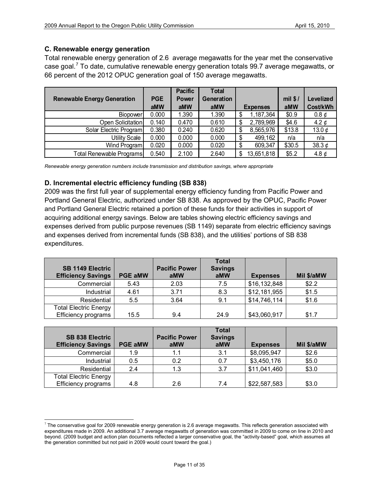# **C. Renewable energy generation**

Total renewable energy generation of 2.6 average megawatts for the year met the conservative case goal.<sup>[7](#page-10-0)</sup> To date, cumulative renewable energy generation totals 99.7 average megawatts, or 66 percent of the 2012 OPUC generation goal of 150 average megawatts.

|                                    |            | <b>Pacific</b> | <b>Total</b> |                  |          |                 |
|------------------------------------|------------|----------------|--------------|------------------|----------|-----------------|
| <b>Renewable Energy Generation</b> | <b>PGE</b> | Power          | Generation   |                  | mil $$/$ | Levelized       |
|                                    | aMW        | aMW            | aMW          | <b>Expenses</b>  | aMW      | <b>Cost/kWh</b> |
| Biopower                           | 0.000      | 1.390          | 1.390        | 1,187,364<br>\$  | \$0.9    | $0.8 \notin$    |
| Open Solicitation                  | 0.140      | 0.470          | 0.610        | 2,789,969<br>\$  | \$4.6    | 4.2 $\phi$      |
| Solar Electric Program             | 0.380      | 0.240          | 0.620        | 8,565,976<br>\$  | \$13.8   | 13.0 $\phi$     |
| <b>Utility Scale</b>               | 0.000      | 0.000          | 0.000        | 499,162<br>\$    | n/a      | n/a             |
| Wind Program                       | 0.020      | 0.000          | 0.020        | 609,347<br>\$    | \$30.5   | 38.3 $\phi$     |
| Total Renewable Programs           | 0.540      | 2.100          | 2.640        | 13,651,818<br>\$ | \$5.2    | 4.8 $\phi$      |

*Renewable energy generation numbers include transmission and distribution savings, where appropriate* 

# **D. Incremental electric efficiency funding (SB 838)**

2009 was the first full year of supplemental energy efficiency funding from Pacific Power and Portland General Electric, authorized under SB 838. As approved by the OPUC, Pacific Power and Portland General Electric retained a portion of these funds for their activities in support of acquiring additional energy savings. Below are tables showing electric efficiency savings and expenses derived from public purpose revenues (SB 1149) separate from electric efficiency savings and expenses derived from incremental funds (SB 838), and the utilities' portions of SB 838 expenditures.

| <b>SB 1149 Electric</b><br><b>Efficiency Savings</b> | <b>PGE aMW</b> | <b>Pacific Power</b><br>aMW | <b>Total</b><br><b>Savings</b><br>aMW | <b>Expenses</b> | Mil \$/aMW |
|------------------------------------------------------|----------------|-----------------------------|---------------------------------------|-----------------|------------|
| Commercial                                           | 5.43           | 2.03                        | 7.5                                   | \$16,132,848    | \$2.2      |
| Industrial                                           | 4.61           | 3.71                        | 8.3                                   | \$12,181,955    | \$1.5      |
| Residential                                          | 5.5            | 3.64                        | 9.1                                   | \$14,746,114    | \$1.6      |
| <b>Total Electric Energy</b><br>Efficiency programs  | 15.5           | 9.4                         | 24.9                                  | \$43,060,917    | \$1.7      |

| <b>SB 838 Electric</b><br><b>Efficiency Savings</b> | <b>PGE aMW</b> | <b>Pacific Power</b><br>aMW | <b>Total</b><br><b>Savings</b><br>aMW | <b>Expenses</b> | Mil \$/aMW |
|-----------------------------------------------------|----------------|-----------------------------|---------------------------------------|-----------------|------------|
| Commercial                                          | 1.9            | 1.1                         | 3.1                                   | \$8,095,947     | \$2.6      |
| Industrial                                          | 0.5            | 0.2                         | 0.7                                   | \$3,450,176     | \$5.0      |
| Residential                                         | 2.4            | 1.3                         | 3.7                                   | \$11,041,460    | \$3.0      |
| <b>Total Electric Energy</b><br>Efficiency programs | 4.8            | 2.6                         | 7.4                                   | \$22,587,583    | \$3.0      |

<span id="page-10-0"></span> $7$  The conservative goal for 2009 renewable energy generation is 2.6 average megawatts. This reflects generation associated with expenditures made in 2009. An additional 3.7 average megawatts of generation was committed in 2009 to come on line in 2010 and beyond. (2009 budget and action plan documents reflected a larger conservative goal, the "activity-based" goal, which assumes all the generation committed but not paid in 2009 would count toward the goal.)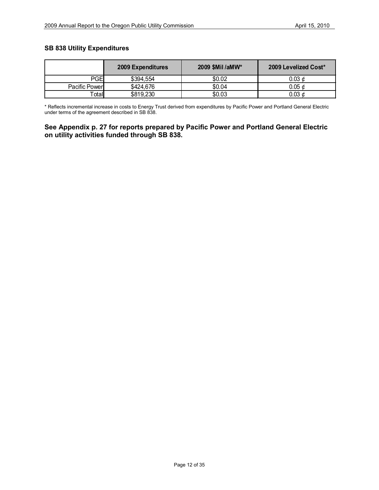### **SB 838 Utility Expenditures**

|               | <b>2009 Expenditures</b> | 2009 \$Mil /aMW* | 2009 Levelized Cost* |
|---------------|--------------------------|------------------|----------------------|
| PGEI          | \$394,554                | \$0.02           | 0.03 ¢               |
| Pacific Power | \$424,676                | \$0.04           | $0.05 \notin$        |
| <b>Fotal</b>  | \$819,230                | \$0.03           | 0.03 ¢               |

\* Reflects incremental increase in costs to Energy Trust derived from expenditures by Pacific Power and Portland General Electric under terms of the agreement described in SB 838.

# **See Appendix p. 27 for reports prepared by Pacific Power and Portland General Electric on utility activities funded through SB 838.**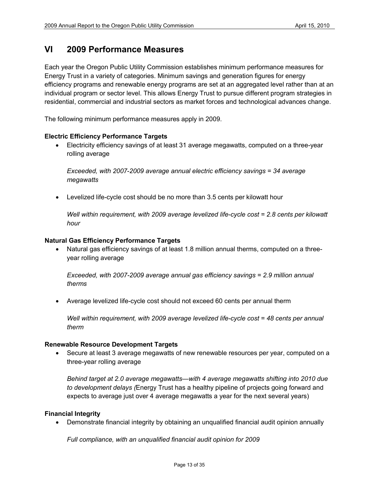# **VI 2009 Performance Measures**

Each year the Oregon Public Utility Commission establishes minimum performance measures for Energy Trust in a variety of categories. Minimum savings and generation figures for energy efficiency programs and renewable energy programs are set at an aggregated level rather than at an individual program or sector level. This allows Energy Trust to pursue different program strategies in residential, commercial and industrial sectors as market forces and technological advances change.

The following minimum performance measures apply in 2009.

#### **Electric Efficiency Performance Targets**

• Electricity efficiency savings of at least 31 average megawatts, computed on a three-year rolling average

*Exceeded, with 2007*-*2009 average annual electric efficiency savings = 34 average megawatts* 

• Levelized life-cycle cost should be no more than 3.5 cents per kilowatt hour

*Well within requirement, with 2009 average levelized life-cycle cost = 2.8 cents per kilowatt hour*

#### **Natural Gas Efficiency Performance Targets**

• Natural gas efficiency savings of at least 1.8 million annual therms, computed on a threeyear rolling average

*Exceeded, with 2007-2009 average annual gas efficiency savings = 2.9 million annual therms*

• Average levelized life-cycle cost should not exceed 60 cents per annual therm

*Well within requirement, with 2009 average levelized life-cycle cost = 48 cents per annual therm*

#### **Renewable Resource Development Targets**

• Secure at least 3 average megawatts of new renewable resources per year, computed on a three-year rolling average

*Behind target at 2.0 average megawatts—with 4 average megawatts shifting into 2010 due to development delays (*Energy Trust has a healthy pipeline of projects going forward and expects to average just over 4 average megawatts a year for the next several years)

#### **Financial Integrity**

• Demonstrate financial integrity by obtaining an unqualified financial audit opinion annually

*Full compliance, with an unqualified financial audit opinion for 2009*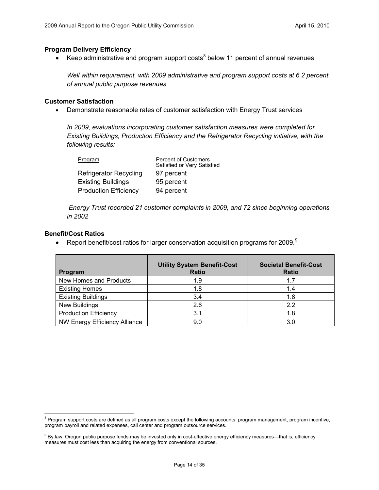#### **Program Delivery Efficiency**

• Keep administrative and program support costs<sup>[8](#page-13-0)</sup> below 11 percent of annual revenues

*Well within requirement, with 2009 administrative and program support costs at 6.2 percent of annual public purpose revenues*

#### **Customer Satisfaction**

• Demonstrate reasonable rates of customer satisfaction with Energy Trust services

*In 2009, evaluations incorporating customer satisfaction measures were completed for Existing Buildings, Production Efficiency and the Refrigerator Recycling initiative, with the following results:*

| Program                       | <b>Percent of Customers</b><br>Satisfied or Very Satisfied |
|-------------------------------|------------------------------------------------------------|
| <b>Refrigerator Recycling</b> | 97 percent                                                 |
| <b>Existing Buildings</b>     | 95 percent                                                 |
| <b>Production Efficiency</b>  | 94 percent                                                 |

*Energy Trust recorded 21 customer complaints in 2009, and 72 since beginning operations in 2002*

#### **Benefit/Cost Ratios**

• Report benefit/cost ratios for larger conservation acquisition programs for 200[9](#page-13-1). $^9$ 

| Program                              | <b>Utility System Benefit-Cost</b><br><b>Ratio</b> | <b>Societal Benefit-Cost</b><br><b>Ratio</b> |
|--------------------------------------|----------------------------------------------------|----------------------------------------------|
| New Homes and Products               | 1.9                                                | 1.7                                          |
| <b>Existing Homes</b>                | 1.8                                                | 1.4                                          |
| <b>Existing Buildings</b>            | 3.4                                                | 1.8                                          |
| <b>New Buildings</b>                 | 2.6                                                | 22                                           |
| <b>Production Efficiency</b>         | 3.1                                                | 1.8                                          |
| <b>NW Energy Efficiency Alliance</b> | 9.0                                                | 3.0                                          |

<span id="page-13-0"></span><sup>&</sup>lt;sup>8</sup> Program support costs are defined as all program costs except the following accounts: program management, program incentive, program payroll and related expenses, call center and program outsource services.

<span id="page-13-1"></span><sup>&</sup>lt;sup>9</sup> By law, Oregon public purpose funds may be invested only in cost-effective energy efficiency measures—that is, efficiency measures must cost less than acquiring the energy from conventional sources.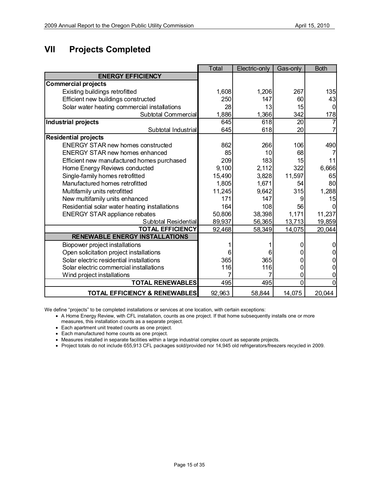# **VII Projects Completed**

|                                               | Total  | Electric-only | Gas-only | <b>Both</b> |
|-----------------------------------------------|--------|---------------|----------|-------------|
| <b>ENERGY EFFICIENCY</b>                      |        |               |          |             |
| <b>Commercial projects</b>                    |        |               |          |             |
| Existing buildings retrofitted                | 1,608  | 1,206         | 267      | 135         |
| Efficient new buildings constructed           | 250    | 147           | 60       | 43          |
| Solar water heating commercial installations  | 28     | 13            | 15       | O           |
| Subtotal Commercial                           | 1,886  | 1,366         | 342      | 178         |
| <b>Industrial projects</b>                    | 645    | 618           | 20       |             |
| Subtotal Industrial                           | 645    | 618           | 20       |             |
| <b>Residential projects</b>                   |        |               |          |             |
| <b>ENERGY STAR new homes constructed</b>      | 862    | 266           | 106      | 490         |
| <b>ENERGY STAR new homes enhanced</b>         | 85     | 10            | 68       |             |
| Efficient new manufactured homes purchased    | 209    | 183           | 15       | 11          |
| Home Energy Reviews conducted                 | 9,100  | 2,112         | 322      | 6,666       |
| Single-family homes retrofitted               | 15,490 | 3,828         | 11,597   | 65          |
| Manufactured homes retrofitted                | 1,805  | 1,671         | 54       | 80          |
| Multifamily units retrofitted                 | 11,245 | 9,642         | 315      | 1,288       |
| New multifamily units enhanced                | 171    | 147           |          | 15          |
| Residential solar water heating installations | 164    | 108           | 56       |             |
| <b>ENERGY STAR appliance rebates</b>          | 50,806 | 38,398        | 1,171    | 11,237      |
| Subtotal Residential                          | 89,937 | 56,365        | 13,713   | 19,859      |
| <b>TOTAL EFFICIENCY</b>                       | 92,468 | 58,349        | 14,075   | 20,044      |
| <b>RENEWABLE ENERGY INSTALLATIONS</b>         |        |               |          |             |
| Biopower project installations                |        |               |          |             |
| Open solicitation project installations       | 6      | 6             |          | 0           |
| Solar electric residential installations      | 365    | 365           |          |             |
| Solar electric commercial installations       | 116    | 116           |          |             |
| Wind project installations                    |        |               | 0        | 0           |
| <b>TOTAL RENEWABLES</b>                       | 495    | 495           | $\Omega$ | 0           |
| <b>TOTAL EFFICIENCY &amp; RENEWABLES</b>      | 92,963 | 58,844        | 14,075   | 20,044      |

We define "projects" to be completed installations or services at one location, with certain exceptions:

- A Home Energy Review, with CFL installation, counts as one project. If that home subsequently installs one or more measures, this installation counts as a separate project.
- Each apartment unit treated counts as one project.
- Each manufactured home counts as one project.
- Measures installed in separate facilities within a large industrial complex count as separate projects.
- Project totals do not include 655,913 CFL packages sold/provided nor 14,945 old refrigerators/freezers recycled in 2009.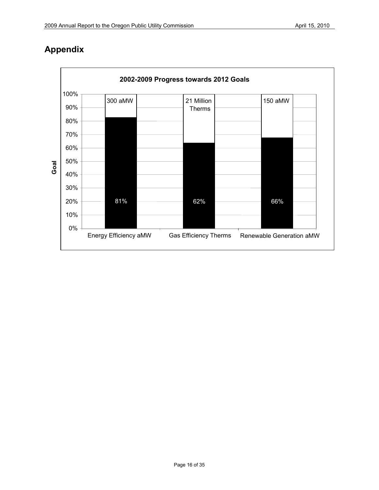

# **Appendix**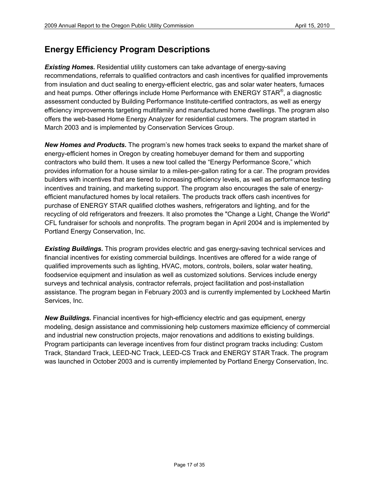# **Energy Efficiency Program Descriptions**

**Existing Homes.** Residential utility customers can take advantage of energy-saving recommendations, referrals to qualified contractors and cash incentives for qualified improvements from insulation and duct sealing to energy-efficient electric, gas and solar water heaters, furnaces and heat pumps. Other offerings include Home Performance with ENERGY STAR<sup>®</sup>, a diagnostic assessment conducted by Building Performance Institute-certified contractors, as well as energy efficiency improvements targeting multifamily and manufactured home dwellings. The program also offers the web-based Home Energy Analyzer for residential customers. The program started in March 2003 and is implemented by Conservation Services Group.

*New Homes and Products.* The program's new homes track seeks to expand the market share of energy-efficient homes in Oregon by creating homebuyer demand for them and supporting contractors who build them. It uses a new tool called the "Energy Performance Score," which provides information for a house similar to a miles-per-gallon rating for a car. The program provides builders with incentives that are tiered to increasing efficiency levels, as well as performance testing incentives and training, and marketing support. The program also encourages the sale of energyefficient manufactured homes by local retailers. The products track offers cash incentives for purchase of ENERGY STAR qualified clothes washers, refrigerators and lighting, and for the recycling of old refrigerators and freezers. It also promotes the "Change a Light, Change the World" CFL fundraiser for schools and nonprofits. The program began in April 2004 and is implemented by Portland Energy Conservation, Inc.

*Existing Buildings.* This program provides electric and gas energy-saving technical services and financial incentives for existing commercial buildings. Incentives are offered for a wide range of qualified improvements such as lighting, HVAC, motors, controls, boilers, solar water heating, foodservice equipment and insulation as well as customized solutions. Services include energy surveys and technical analysis, contractor referrals, project facilitation and post-installation assistance. The program began in February 2003 and is currently implemented by Lockheed Martin Services, Inc.

*New Buildings.* Financial incentives for high-efficiency electric and gas equipment, energy modeling, design assistance and commissioning help customers maximize efficiency of commercial and industrial new construction projects, major renovations and additions to existing buildings. Program participants can leverage incentives from four distinct program tracks including: Custom Track, Standard Track, LEED-NC Track, LEED-CS Track and ENERGY STAR Track. The program was launched in October 2003 and is currently implemented by Portland Energy Conservation, Inc.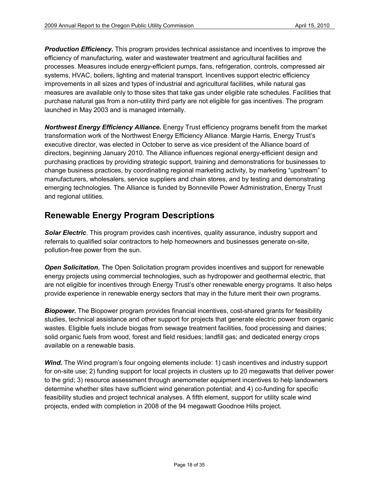*Production Efficiency.* This program provides technical assistance and incentives to improve the efficiency of manufacturing, water and wastewater treatment and agricultural facilities and processes. Measures include energy-efficient pumps, fans, refrigeration, controls, compressed air systems, HVAC, boilers, lighting and material transport. Incentives support electric efficiency improvements in all sizes and types of industrial and agricultural facilities, while natural gas measures are available only to those sites that take gas under eligible rate schedules. Facilities that purchase natural gas from a non-utility third party are not eligible for gas incentives. The program launched in May 2003 and is managed internally.

*Northwest Energy Efficiency Alliance.* Energy Trust efficiency programs benefit from the market transformation work of the Northwest Energy Efficiency Alliance. Margie Harris, Energy Trust's executive director, was elected in October to serve as vice president of the Alliance board of directors, beginning January 2010. The Alliance influences regional energy-efficient design and purchasing practices by providing strategic support, training and demonstrations for businesses to change business practices, by coordinating regional marketing activity, by marketing "upstream" to manufacturers, wholesalers, service suppliers and chain stores, and by testing and demonstrating emerging technologies. The Alliance is funded by Bonneville Power Administration, Energy Trust and regional utilities.

# **Renewable Energy Program Descriptions**

*Solar Electric*. This program provides cash incentives, quality assurance, industry support and referrals to qualified solar contractors to help homeowners and businesses generate on-site, pollution-free power from the sun.

**Open Solicitation.** The Open Solicitation program provides incentives and support for renewable energy projects using commercial technologies, such as hydropower and geothermal electric, that are not eligible for incentives through Energy Trust's other renewable energy programs. It also helps provide experience in renewable energy sectors that may in the future merit their own programs.

*Biopower.* The Biopower program provides financial incentives, cost-shared grants for feasibility studies, technical assistance and other support for projects that generate electric power from organic wastes. Eligible fuels include biogas from sewage treatment facilities, food processing and dairies; solid organic fuels from wood, forest and field residues; landfill gas; and dedicated energy crops available on a renewable basis.

*Wind.* The Wind program's four ongoing elements include: 1) cash incentives and industry support for on-site use; 2) funding support for local projects in clusters up to 20 megawatts that deliver power to the grid; 3) resource assessment through anemometer equipment incentives to help landowners determine whether sites have sufficient wind generation potential; and 4) co-funding for specific feasibility studies and project technical analyses. A fifth element, support for utility scale wind projects, ended with completion in 2008 of the 94 megawatt Goodnoe Hills project.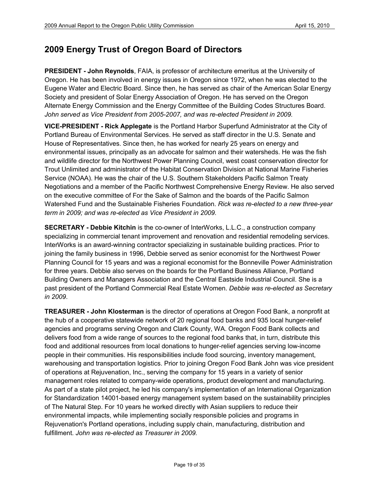# **2009 Energy Trust of Oregon Board of Directors**

**PRESIDENT - John Reynolds**, FAIA, is professor of architecture emeritus at the University of Oregon. He has been involved in energy issues in Oregon since 1972, when he was elected to the Eugene Water and Electric Board. Since then, he has served as chair of the American Solar Energy Society and president of Solar Energy Association of Oregon. He has served on the Oregon Alternate Energy Commission and the Energy Committee of the Building Codes Structures Board. *John served as Vice President from 2005-2007, and was re-elected President in 2009.*

**VICE-PRESIDENT - Rick Applegate** is the Portland Harbor Superfund Administrator at the City of Portland Bureau of Environmental Services. He served as staff director in the U.S. Senate and House of Representatives. Since then, he has worked for nearly 25 years on energy and environmental issues, principally as an advocate for salmon and their watersheds. He was the fish and wildlife director for the Northwest Power Planning Council, west coast conservation director for Trout Unlimited and administrator of the Habitat Conservation Division at National Marine Fisheries Service (NOAA). He was the chair of the U.S. Southern Stakeholders Pacific Salmon Treaty Negotiations and a member of the Pacific Northwest Comprehensive Energy Review. He also served on the executive committee of For the Sake of Salmon and the boards of the Pacific Salmon Watershed Fund and the Sustainable Fisheries Foundation. *Rick was re-elected to a new three-year term in 2009; and was re-elected as Vice President in 2009.*

**SECRETARY - Debbie Kitchin** is the co-owner of InterWorks, L.L.C., a construction company specializing in commercial tenant improvement and renovation and residential remodeling services. InterWorks is an award-winning contractor specializing in sustainable building practices. Prior to joining the family business in 1996, Debbie served as senior economist for the Northwest Power Planning Council for 15 years and was a regional economist for the Bonneville Power Administration for three years. Debbie also serves on the boards for the Portland Business Alliance, Portland Building Owners and Managers Association and the Central Eastside Industrial Council. She is a past president of the Portland Commercial Real Estate Women. *Debbie was re-elected as Secretary in 2009*.

**TREASURER - John Klosterman** is the director of operations at Oregon Food Bank, a nonprofit at the hub of a cooperative statewide network of 20 regional food banks and 935 local hunger-relief agencies and programs serving Oregon and Clark County, WA. Oregon Food Bank collects and delivers food from a wide range of sources to the regional food banks that, in turn, distribute this food and additional resources from local donations to hunger-relief agencies serving low-income people in their communities. His responsibilities include food sourcing, inventory management, warehousing and transportation logistics. Prior to joining Oregon Food Bank John was vice president of operations at Rejuvenation, Inc., serving the company for 15 years in a variety of senior management roles related to company-wide operations, product development and manufacturing. As part of a state pilot project, he led his company's implementation of an International Organization for Standardization 14001-based energy management system based on the sustainability principles of The Natural Step. For 10 years he worked directly with Asian suppliers to reduce their environmental impacts, while implementing socially responsible policies and programs in Rejuvenation's Portland operations, including supply chain, manufacturing, distribution and fulfillment. *John was re-elected as Treasurer in 2009.*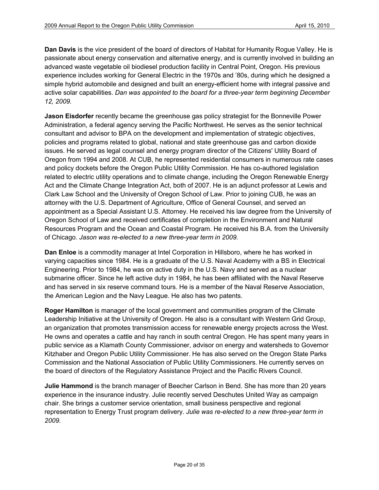**Dan Davis** is the vice president of the board of directors of Habitat for Humanity Rogue Valley. He is passionate about energy conservation and alternative energy, and is currently involved in building an advanced waste vegetable oil biodiesel production facility in Central Point, Oregon. His previous experience includes working for General Electric in the 1970s and '80s, during which he designed a simple hybrid automobile and designed and built an energy-efficient home with integral passive and active solar capabilities. *Dan was appointed to the board for a three-year term beginning December 12, 2009.*

**Jason Eisdorfer** recently became the greenhouse gas policy strategist for the Bonneville Power Administration, a federal agency serving the Pacific Northwest. He serves as the senior technical consultant and advisor to BPA on the development and implementation of strategic objectives, policies and programs related to global, national and state greenhouse gas and carbon dioxide issues. He served as legal counsel and energy program director of the Citizens' Utility Board of Oregon from 1994 and 2008. At CUB, he represented residential consumers in numerous rate cases and policy dockets before the Oregon Public Utility Commission. He has co-authored legislation related to electric utility operations and to climate change, including the Oregon Renewable Energy Act and the Climate Change Integration Act, both of 2007. He is an adjunct professor at Lewis and Clark Law School and the University of Oregon School of Law. Prior to joining CUB, he was an attorney with the U.S. Department of Agriculture, Office of General Counsel, and served an appointment as a Special Assistant U.S. Attorney. He received his law degree from the University of Oregon School of Law and received certificates of completion in the Environment and Natural Resources Program and the Ocean and Coastal Program. He received his B.A. from the University of Chicago. *Jason was re-elected to a new three-year term in 2009.*

**Dan Enloe** is a commodity manager at Intel Corporation in Hillsboro, where he has worked in varying capacities since 1984. He is a graduate of the U.S. Naval Academy with a BS in Electrical Engineering. Prior to 1984, he was on active duty in the U.S. Navy and served as a nuclear submarine officer. Since he left active duty in 1984, he has been affiliated with the Naval Reserve and has served in six reserve command tours. He is a member of the Naval Reserve Association, the American Legion and the Navy League. He also has two patents.

**Roger Hamilton** is manager of the local government and communities program of the Climate Leadership Initiative at the University of Oregon. He also is a consultant with Western Grid Group, an organization that promotes transmission access for renewable energy projects across the West. He owns and operates a cattle and hay ranch in south central Oregon. He has spent many years in public service as a Klamath County Commissioner, advisor on energy and watersheds to Governor Kitzhaber and Oregon Public Utility Commissioner. He has also served on the Oregon State Parks Commission and the National Association of Public Utility Commissioners. He currently serves on the board of directors of the Regulatory Assistance Project and the Pacific Rivers Council.

**Julie Hammond** is the branch manager of Beecher Carlson in Bend. She has more than 20 years experience in the insurance industry. Julie recently served Deschutes United Way as campaign chair. She brings a customer service orientation, small business perspective and regional representation to Energy Trust program delivery. *Julie was re-elected to a new three-year term in 2009.*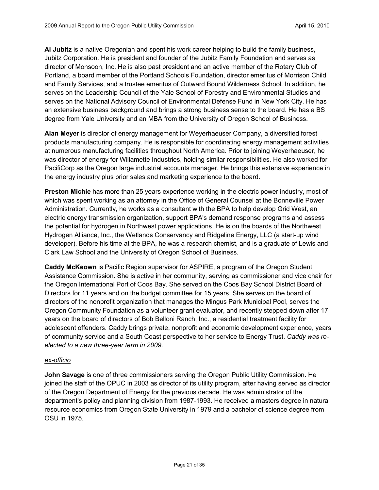**Al Jubitz** is a native Oregonian and spent his work career helping to build the family business, Jubitz Corporation. He is president and founder of the Jubitz Family Foundation and serves as director of Monsoon, Inc. He is also past president and an active member of the Rotary Club of Portland, a board member of the Portland Schools Foundation, director emeritus of Morrison Child and Family Services, and a trustee emeritus of Outward Bound Wilderness School. In addition, he serves on the Leadership Council of the Yale School of Forestry and Environmental Studies and serves on the National Advisory Council of Environmental Defense Fund in New York City. He has an extensive business background and brings a strong business sense to the board. He has a BS degree from Yale University and an MBA from the University of Oregon School of Business.

**Alan Meyer** is director of energy management for Weyerhaeuser Company, a diversified forest products manufacturing company. He is responsible for coordinating energy management activities at numerous manufacturing facilities throughout North America. Prior to joining Weyerhaeuser, he was director of energy for Willamette Industries, holding similar responsibilities. He also worked for PacifiCorp as the Oregon large industrial accounts manager. He brings this extensive experience in the energy industry plus prior sales and marketing experience to the board.

**Preston Michie** has more than 25 years experience working in the electric power industry, most of which was spent working as an attorney in the Office of General Counsel at the Bonneville Power Administration. Currently, he works as a consultant with the BPA to help develop Grid West, an electric energy transmission organization, support BPA's demand response programs and assess the potential for hydrogen in Northwest power applications. He is on the boards of the Northwest Hydrogen Alliance, Inc., the Wetlands Conservancy and Ridgeline Energy, LLC (a start-up wind developer). Before his time at the BPA, he was a research chemist, and is a graduate of Lewis and Clark Law School and the University of Oregon School of Business.

**Caddy McKeown** is Pacific Region supervisor for ASPIRE, a program of the Oregon Student Assistance Commission. She is active in her community, serving as commissioner and vice chair for the Oregon International Port of Coos Bay. She served on the Coos Bay School District Board of Directors for 11 years and on the budget committee for 15 years. She serves on the board of directors of the nonprofit organization that manages the Mingus Park Municipal Pool, serves the Oregon Community Foundation as a volunteer grant evaluator, and recently stepped down after 17 years on the board of directors of Bob Belloni Ranch, Inc., a residential treatment facility for adolescent offenders. Caddy brings private, nonprofit and economic development experience, years of community service and a South Coast perspective to her service to Energy Trust. *Caddy was reelected to a new three-year term in 2009*.

# *ex-officio*

**John Savage** is one of three commissioners serving the Oregon Public Utility Commission. He joined the staff of the OPUC in 2003 as director of its utility program, after having served as director of the Oregon Department of Energy for the previous decade. He was administrator of the department's policy and planning division from 1987-1993. He received a masters degree in natural resource economics from Oregon State University in 1979 and a bachelor of science degree from OSU in 1975.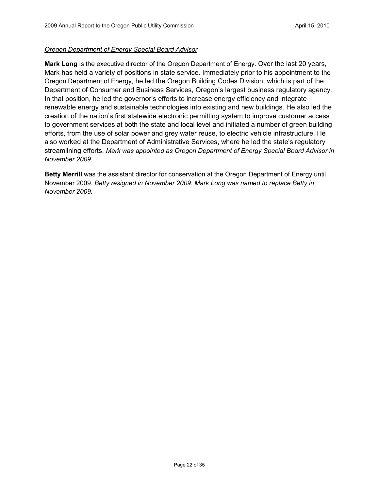# *Oregon Department of Energy Special Board Advisor*

**Mark Long** is the executive director of the Oregon Department of Energy. Over the last 20 years, Mark has held a variety of positions in state service. Immediately prior to his appointment to the Oregon Department of Energy, he led the Oregon Building Codes Division, which is part of the Department of Consumer and Business Services, Oregon's largest business regulatory agency. In that position, he led the governor's efforts to increase energy efficiency and integrate renewable energy and sustainable technologies into existing and new buildings. He also led the creation of the nation's first statewide electronic permitting system to improve customer access to government services at both the state and local level and initiated a number of green building efforts, from the use of solar power and grey water reuse, to electric vehicle infrastructure. He also worked at the Department of Administrative Services, where he led the state's regulatory streamlining efforts. *Mark was appointed as Oregon Department of Energy Special Board Advisor in November 2009.*

**Betty Merrill** was the assistant director for conservation at the Oregon Department of Energy until November 2009. *Betty resigned in November 2009. Mark Long was named to replace Betty in November 2009.*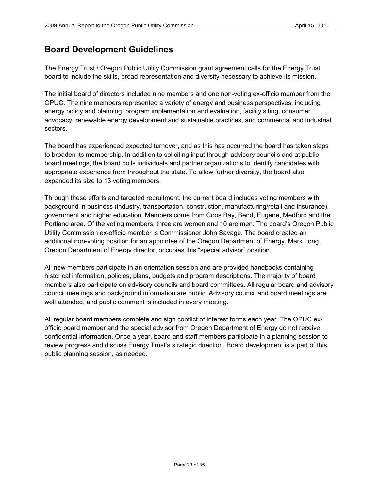# **Board Development Guidelines**

The Energy Trust / Oregon Public Utility Commission grant agreement calls for the Energy Trust board to include the skills, broad representation and diversity necessary to achieve its mission.

The initial board of directors included nine members and one non-voting ex-officio member from the OPUC. The nine members represented a variety of energy and business perspectives, including energy policy and planning, program implementation and evaluation, facility siting, consumer advocacy, renewable energy development and sustainable practices, and commercial and industrial sectors.

The board has experienced expected turnover, and as this has occurred the board has taken steps to broaden its membership. In addition to soliciting input through advisory councils and at public board meetings, the board polls individuals and partner organizations to identify candidates with appropriate experience from throughout the state. To allow further diversity, the board also expanded its size to 13 voting members.

Through these efforts and targeted recruitment, the current board includes voting members with background in business (industry, transportation, construction, manufacturing/retail and insurance), government and higher education. Members come from Coos Bay, Bend, Eugene, Medford and the Portland area. Of the voting members, three are women and 10 are men. The board's Oregon Public Utility Commission ex-officio member is Commissioner John Savage. The board created an additional non-voting position for an appointee of the Oregon Department of Energy. Mark Long, Oregon Department of Energy director, occupies this "special advisor" position.

All new members participate in an orientation session and are provided handbooks containing historical information, policies, plans, budgets and program descriptions. The majority of board members also participate on advisory councils and board committees. All regular board and advisory council meetings and background information are public. Advisory council and board meetings are well attended, and public comment is included in every meeting.

All regular board members complete and sign conflict of interest forms each year. The OPUC exofficio board member and the special advisor from Oregon Department of Energy do not receive confidential information. Once a year, board and staff members participate in a planning session to review progress and discuss Energy Trust's strategic direction. Board development is a part of this public planning session, as needed.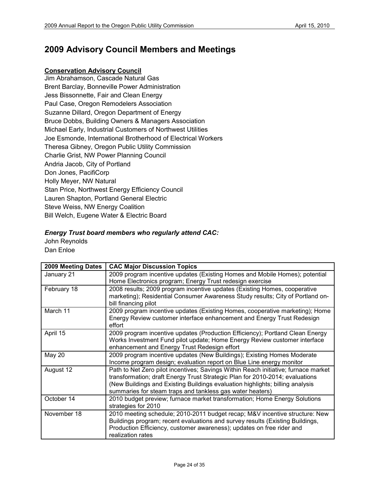# **2009 Advisory Council Members and Meetings**

## **Conservation Advisory Council**

Jim Abrahamson, Cascade Natural Gas Brent Barclay, Bonneville Power Administration Jess Bissonnette, Fair and Clean Energy Paul Case, Oregon Remodelers Association Suzanne Dillard, Oregon Department of Energy Bruce Dobbs, Building Owners & Managers Association Michael Early, Industrial Customers of Northwest Utilities Joe Esmonde, International Brotherhood of Electrical Workers Theresa Gibney, Oregon Public Utility Commission Charlie Grist, NW Power Planning Council Andria Jacob, City of Portland Don Jones, PacifiCorp Holly Meyer, NW Natural Stan Price, Northwest Energy Efficiency Council Lauren Shapton, Portland General Electric Steve Weiss, NW Energy Coalition Bill Welch, Eugene Water & Electric Board

#### *Energy Trust board members who regularly attend CAC:*

John Reynolds Dan Enloe

| 2009 Meeting Dates | <b>CAC Major Discussion Topics</b>                                                 |  |  |
|--------------------|------------------------------------------------------------------------------------|--|--|
| January 21         | 2009 program incentive updates (Existing Homes and Mobile Homes); potential        |  |  |
|                    | Home Electronics program; Energy Trust redesign exercise                           |  |  |
| February 18        | 2008 results; 2009 program incentive updates (Existing Homes, cooperative          |  |  |
|                    | marketing); Residential Consumer Awareness Study results; City of Portland on-     |  |  |
|                    | bill financing pilot                                                               |  |  |
| March 11           | 2009 program incentive updates (Existing Homes, cooperative marketing); Home       |  |  |
|                    | Energy Review customer interface enhancement and Energy Trust Redesign             |  |  |
|                    | effort                                                                             |  |  |
| April 15           | 2009 program incentive updates (Production Efficiency); Portland Clean Energy      |  |  |
|                    | Works Investment Fund pilot update; Home Energy Review customer interface          |  |  |
|                    | enhancement and Energy Trust Redesign effort                                       |  |  |
| <b>May 20</b>      | 2009 program incentive updates (New Buildings); Existing Homes Moderate            |  |  |
|                    | Income program design; evaluation report on Blue Line energy monitor               |  |  |
| August 12          | Path to Net Zero pilot incentives; Savings Within Reach initiative; furnace market |  |  |
|                    | transformation; draft Energy Trust Strategic Plan for 2010-2014; evaluations       |  |  |
|                    | (New Buildings and Existing Buildings evaluation highlights; billing analysis      |  |  |
|                    | summaries for steam traps and tankless gas water heaters)                          |  |  |
| October 14         | 2010 budget preview; furnace market transformation; Home Energy Solutions          |  |  |
|                    | strategies for 2010                                                                |  |  |
| November 18        | 2010 meeting schedule; 2010-2011 budget recap; M&V incentive structure: New        |  |  |
|                    | Buildings program; recent evaluations and survey results (Existing Buildings,      |  |  |
|                    | Production Efficiency, customer awareness); updates on free rider and              |  |  |
|                    | realization rates                                                                  |  |  |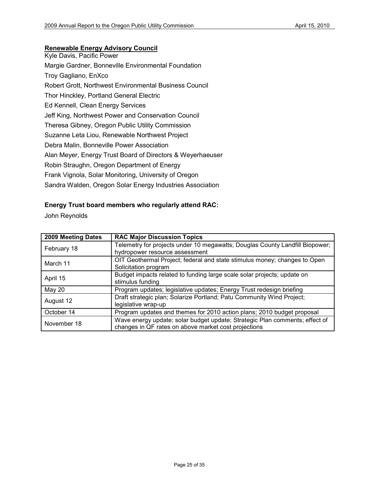# **Renewable Energy Advisory Council**

| Kyle Davis, Pacific Power                                  |
|------------------------------------------------------------|
| Margie Gardner, Bonneville Environmental Foundation        |
| Troy Gagliano, EnXco                                       |
| Robert Grott, Northwest Environmental Business Council     |
| Thor Hinckley, Portland General Electric                   |
| Ed Kennell, Clean Energy Services                          |
| Jeff King, Northwest Power and Conservation Council        |
| Theresa Gibney, Oregon Public Utility Commission           |
| Suzanne Leta Liou, Renewable Northwest Project             |
| Debra Malin, Bonneville Power Association                  |
| Alan Meyer, Energy Trust Board of Directors & Weyerhaeuser |
| Robin Straughn, Oregon Department of Energy                |
| Frank Vignola, Solar Monitoring, University of Oregon      |
| Sandra Walden, Oregon Solar Energy Industries Association  |

# **Energy Trust board members who regularly attend RAC:**

John Reynolds

| 2009 Meeting Dates | <b>RAC Major Discussion Topics</b>                                                                                                  |
|--------------------|-------------------------------------------------------------------------------------------------------------------------------------|
| February 18        | Telemetry for projects under 10 megawatts; Douglas County Landfill Biopower;<br>hydropower resource assessment                      |
| March 11           | OIT Geothermal Project; federal and state stimulus money; changes to Open<br>Solicitation program                                   |
| April 15           | Budget impacts related to funding large scale solar projects; update on<br>stimulus funding                                         |
| May 20             | Program updates; legislative updates; Energy Trust redesign briefing                                                                |
| August 12          | Draft strategic plan; Solarize Portland; Patu Community Wind Project;<br>legislative wrap-up                                        |
| October 14         | Program updates and themes for 2010 action plans; 2010 budget proposal                                                              |
| November 18        | Wave energy update; solar budget update; Strategic Plan comments; effect of<br>changes in QF rates on above market cost projections |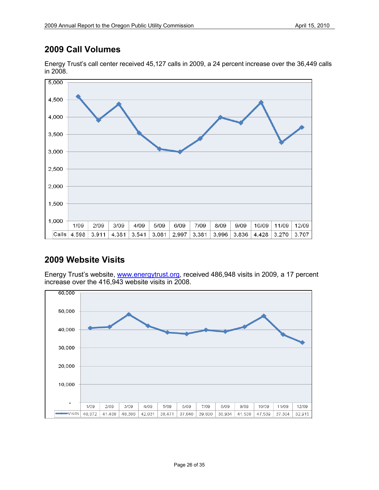# **2009 Call Volumes**



Energy Trust's call center received 45,127 calls in 2009, a 24 percent increase over the 36,449 calls in 2008.

# **2009 Website Visits**

Energy Trust's website, [www.energytrust.org,](http://www.energytrust.org/) received 486,948 visits in 2009, a 17 percent increase over the 416,943 website visits in 2008.

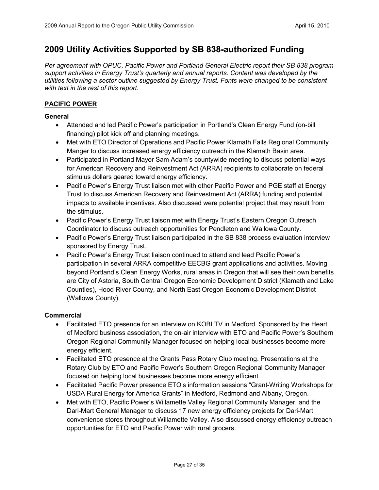# **2009 Utility Activities Supported by SB 838-authorized Funding**

*Per agreement with OPUC, Pacific Power and Portland General Electric report their SB 838 program support activities in Energy Trust's quarterly and annual reports. Content was developed by the utilities following a sector outline suggested by Energy Trust. Fonts were changed to be consistent with text in the rest of this report.* 

# **PACIFIC POWER**

### **General**

- Attended and led Pacific Power's participation in Portland's Clean Energy Fund (on-bill financing) pilot kick off and planning meetings.
- Met with ETO Director of Operations and Pacific Power Klamath Falls Regional Community Manger to discuss increased energy efficiency outreach in the Klamath Basin area.
- Participated in Portland Mayor Sam Adam's countywide meeting to discuss potential ways for American Recovery and Reinvestment Act (ARRA) recipients to collaborate on federal stimulus dollars geared toward energy efficiency.
- Pacific Power's Energy Trust liaison met with other Pacific Power and PGE staff at Energy Trust to discuss American Recovery and Reinvestment Act (ARRA) funding and potential impacts to available incentives. Also discussed were potential project that may result from the stimulus.
- Pacific Power's Energy Trust liaison met with Energy Trust's Eastern Oregon Outreach Coordinator to discuss outreach opportunities for Pendleton and Wallowa County.
- Pacific Power's Energy Trust liaison participated in the SB 838 process evaluation interview sponsored by Energy Trust.
- Pacific Power's Energy Trust liaison continued to attend and lead Pacific Power's participation in several ARRA competitive EECBG grant applications and activities. Moving beyond Portland's Clean Energy Works, rural areas in Oregon that will see their own benefits are City of Astoria, South Central Oregon Economic Development District (Klamath and Lake Counties), Hood River County, and North East Oregon Economic Development District (Wallowa County).

### **Commercial**

- Facilitated ETO presence for an interview on KOBI TV in Medford. Sponsored by the Heart of Medford business association, the on-air interview with ETO and Pacific Power's Southern Oregon Regional Community Manager focused on helping local businesses become more energy efficient.
- Facilitated ETO presence at the Grants Pass Rotary Club meeting. Presentations at the Rotary Club by ETO and Pacific Power's Southern Oregon Regional Community Manager focused on helping local businesses become more energy efficient.
- Facilitated Pacific Power presence ETO's information sessions "Grant-Writing Workshops for USDA Rural Energy for America Grants" in Medford, Redmond and Albany, Oregon.
- Met with ETO, Pacific Power's Willamette Valley Regional Community Manager, and the Dari-Mart General Manager to discuss 17 new energy efficiency projects for Dari-Mart convenience stores throughout Willamette Valley. Also discussed energy efficiency outreach opportunities for ETO and Pacific Power with rural grocers.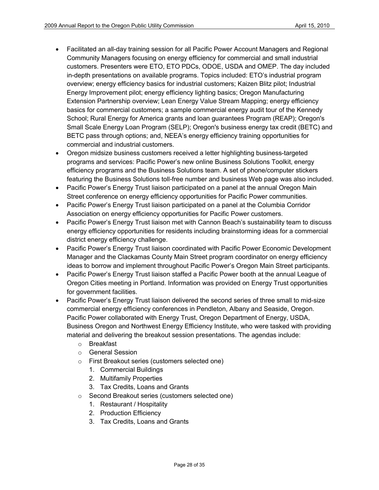- Facilitated an all-day training session for all Pacific Power Account Managers and Regional Community Managers focusing on energy efficiency for commercial and small industrial customers. Presenters were ETO, ETO PDCs, ODOE, USDA and OMEP. The day included in-depth presentations on available programs. Topics included: ETO's industrial program overview; energy efficiency basics for industrial customers; Kaizen Blitz pilot; Industrial Energy Improvement pilot; energy efficiency lighting basics; Oregon Manufacturing Extension Partnership overview; Lean Energy Value Stream Mapping; energy efficiency basics for commercial customers; a sample commercial energy audit tour of the Kennedy School; Rural Energy for America grants and loan guarantees Program (REAP); Oregon's Small Scale Energy Loan Program (SELP); Oregon's business energy tax credit (BETC) and BETC pass through options; and, NEEA's energy efficiency training opportunities for commercial and industrial customers.
- Oregon midsize business customers received a letter highlighting business-targeted programs and services: Pacific Power's new online Business Solutions Toolkit, energy efficiency programs and the Business Solutions team. A set of phone/computer stickers featuring the Business Solutions toll-free number and business Web page was also included.
- Pacific Power's Energy Trust liaison participated on a panel at the annual Oregon Main Street conference on energy efficiency opportunities for Pacific Power communities.
- Pacific Power's Energy Trust liaison participated on a panel at the Columbia Corridor Association on energy efficiency opportunities for Pacific Power customers.
- Pacific Power's Energy Trust liaison met with Cannon Beach's sustainability team to discuss energy efficiency opportunities for residents including brainstorming ideas for a commercial district energy efficiency challenge.
- Pacific Power's Energy Trust liaison coordinated with Pacific Power Economic Development Manager and the Clackamas County Main Street program coordinator on energy efficiency ideas to borrow and implement throughout Pacific Power's Oregon Main Street participants.
- Pacific Power's Energy Trust liaison staffed a Pacific Power booth at the annual League of Oregon Cities meeting in Portland. Information was provided on Energy Trust opportunities for government facilities.
- Pacific Power's Energy Trust liaison delivered the second series of three small to mid-size commercial energy efficiency conferences in Pendleton, Albany and Seaside, Oregon. Pacific Power collaborated with Energy Trust, Oregon Department of Energy, USDA, Business Oregon and Northwest Energy Efficiency Institute, who were tasked with providing material and delivering the breakout session presentations. The agendas include:
	- o Breakfast
	- o General Session
	- o First Breakout series (customers selected one)
		- 1. Commercial Buildings
		- 2. Multifamily Properties
		- 3. Tax Credits, Loans and Grants
	- o Second Breakout series (customers selected one)
		- 1. Restaurant / Hospitality
		- 2. Production Efficiency
		- 3. Tax Credits, Loans and Grants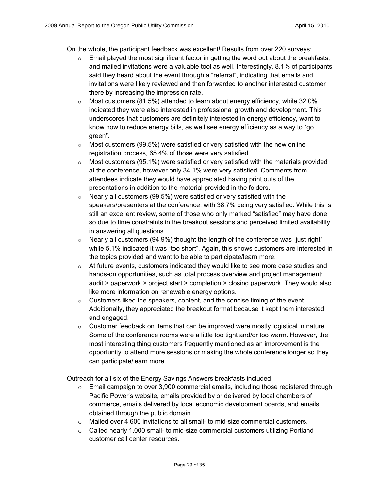On the whole, the participant feedback was excellent! Results from over 220 surveys:

- $\circ$  Email played the most significant factor in getting the word out about the breakfasts, and mailed invitations were a valuable tool as well. Interestingly, 8.1% of participants said they heard about the event through a "referral", indicating that emails and invitations were likely reviewed and then forwarded to another interested customer there by increasing the impression rate.
- $\circ$  Most customers (81.5%) attended to learn about energy efficiency, while 32.0% indicated they were also interested in professional growth and development. This underscores that customers are definitely interested in energy efficiency, want to know how to reduce energy bills, as well see energy efficiency as a way to "go green".
- $\circ$  Most customers (99.5%) were satisfied or very satisfied with the new online registration process, 65.4% of those were very satisfied.
- $\circ$  Most customers (95.1%) were satisfied or very satisfied with the materials provided at the conference, however only 34.1% were very satisfied. Comments from attendees indicate they would have appreciated having print outs of the presentations in addition to the material provided in the folders.
- $\circ$  Nearly all customers (99.5%) were satisfied or very satisfied with the speakers/presenters at the conference, with 38.7% being very satisfied. While this is still an excellent review, some of those who only marked "satisfied" may have done so due to time constraints in the breakout sessions and perceived limited availability in answering all questions.
- $\circ$  Nearly all customers (94.9%) thought the length of the conference was "just right" while 5.1% indicated it was "too short". Again, this shows customers are interested in the topics provided and want to be able to participate/learn more.
- $\circ$  At future events, customers indicated they would like to see more case studies and hands-on opportunities, such as total process overview and project management: audit > paperwork > project start > completion > closing paperwork. They would also like more information on renewable energy options.
- $\circ$  Customers liked the speakers, content, and the concise timing of the event. Additionally, they appreciated the breakout format because it kept them interested and engaged.
- $\circ$  Customer feedback on items that can be improved were mostly logistical in nature. Some of the conference rooms were a little too tight and/or too warm. However, the most interesting thing customers frequently mentioned as an improvement is the opportunity to attend more sessions or making the whole conference longer so they can participate/learn more.

Outreach for all six of the Energy Savings Answers breakfasts included:

- $\circ$  Email campaign to over 3,900 commercial emails, including those registered through Pacific Power's website, emails provided by or delivered by local chambers of commerce, emails delivered by local economic development boards, and emails obtained through the public domain.
- o Mailed over 4,600 invitations to all small- to mid-size commercial customers.
- $\circ$  Called nearly 1,000 small- to mid-size commercial customers utilizing Portland customer call center resources.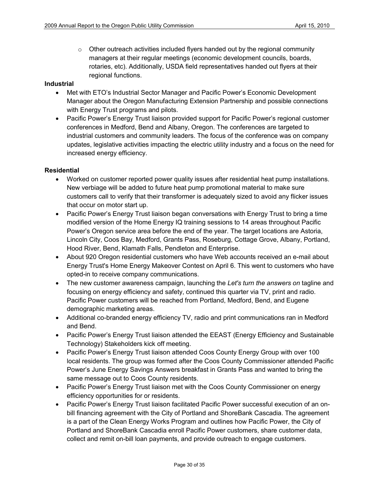$\circ$  Other outreach activities included flyers handed out by the regional community managers at their regular meetings (economic development councils, boards, rotaries, etc). Additionally, USDA field representatives handed out flyers at their regional functions.

### **Industrial**

- Met with ETO's Industrial Sector Manager and Pacific Power's Economic Development Manager about the Oregon Manufacturing Extension Partnership and possible connections with Energy Trust programs and pilots.
- Pacific Power's Energy Trust liaison provided support for Pacific Power's regional customer conferences in Medford, Bend and Albany, Oregon. The conferences are targeted to industrial customers and community leaders. The focus of the conference was on company updates, legislative activities impacting the electric utility industry and a focus on the need for increased energy efficiency.

### **Residential**

- Worked on customer reported power quality issues after residential heat pump installations. New verbiage will be added to future heat pump promotional material to make sure customers call to verify that their transformer is adequately sized to avoid any flicker issues that occur on motor start up.
- Pacific Power's Energy Trust liaison began conversations with Energy Trust to bring a time modified version of the Home Energy IQ training sessions to 14 areas throughout Pacific Power's Oregon service area before the end of the year. The target locations are Astoria, Lincoln City, Coos Bay, Medford, Grants Pass, Roseburg, Cottage Grove, Albany, Portland, Hood River, Bend, Klamath Falls, Pendleton and Enterprise.
- About 920 Oregon residential customers who have Web accounts received an e-mail about Energy Trust's Home Energy Makeover Contest on April 6. This went to customers who have opted-in to receive company communications.
- The new customer awareness campaign, launching the *Let's turn the answers on* tagline and focusing on energy efficiency and safety, continued this quarter via TV, print and radio. Pacific Power customers will be reached from Portland, Medford, Bend, and Eugene demographic marketing areas.
- Additional co-branded energy efficiency TV, radio and print communications ran in Medford and Bend.
- Pacific Power's Energy Trust liaison attended the EEAST (Energy Efficiency and Sustainable Technology) Stakeholders kick off meeting.
- Pacific Power's Energy Trust liaison attended Coos County Energy Group with over 100 local residents. The group was formed after the Coos County Commissioner attended Pacific Power's June Energy Savings Answers breakfast in Grants Pass and wanted to bring the same message out to Coos County residents.
- Pacific Power's Energy Trust liaison met with the Coos County Commissioner on energy efficiency opportunities for or residents.
- Pacific Power's Energy Trust liaison facilitated Pacific Power successful execution of an onbill financing agreement with the City of Portland and ShoreBank Cascadia. The agreement is a part of the Clean Energy Works Program and outlines how Pacific Power, the City of Portland and ShoreBank Cascadia enroll Pacific Power customers, share customer data, collect and remit on-bill loan payments, and provide outreach to engage customers.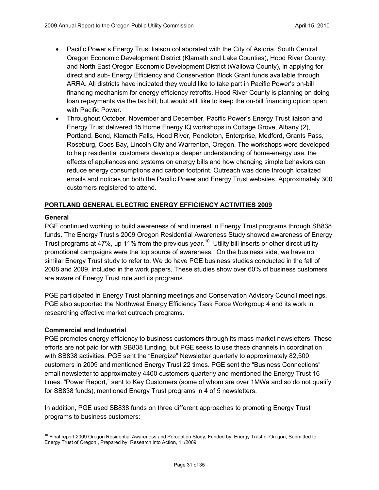- Pacific Power's Energy Trust liaison collaborated with the City of Astoria, South Central Oregon Economic Development District (Klamath and Lake Counties), Hood River County, and North East Oregon Economic Development District (Wallowa County), in applying for direct and sub- Energy Efficiency and Conservation Block Grant funds available through ARRA. All districts have indicated they would like to take part in Pacific Power's on-bill financing mechanism for energy efficiency retrofits. Hood River County is planning on doing loan repayments via the tax bill, but would still like to keep the on-bill financing option open with Pacific Power.
- Throughout October, November and December, Pacific Power's Energy Trust liaison and Energy Trust delivered 15 Home Energy IQ workshops in Cottage Grove, Albany (2), Portland, Bend, Klamath Falls, Hood River, Pendleton, Enterprise, Medford, Grants Pass, Roseburg, Coos Bay, Lincoln City and Warrenton, Oregon. The workshops were developed to help residential customers develop a deeper understanding of home-energy use, the effects of appliances and systems on energy bills and how changing simple behaviors can reduce energy consumptions and carbon footprint. Outreach was done through localized emails and notices on both the Pacific Power and Energy Trust websites. Approximately 300 customers registered to attend.

# **PORTLAND GENERAL ELECTRIC ENERGY EFFICIENCY ACTIVITIES 2009**

### **General**

PGE continued working to build awareness of and interest in Energy Trust programs through SB838 funds. The Energy Trust's 2009 Oregon Residential Awareness Study showed awareness of Energy Trust programs at 47%, up 11% from the previous year.<sup>[10](#page-30-0)</sup> Utility bill inserts or other direct utility promotional campaigns were the top source of awareness. On the business side, we have no similar Energy Trust study to refer to. We do have PGE business studies conducted in the fall of 2008 and 2009, included in the work papers. These studies show over 60% of business customers are aware of Energy Trust role and its programs.

PGE participated in Energy Trust planning meetings and Conservation Advisory Council meetings. PGE also supported the Northwest Energy Efficiency Task Force Workgroup 4 and its work in researching effective market outreach programs.

# **Commercial and Industrial**

PGE promotes energy efficiency to business customers through its mass market newsletters. These efforts are not paid for with SB838 funding, but PGE seeks to use these channels in coordination with SB838 activities. PGE sent the "Energize" Newsletter quarterly to approximately 82,500 customers in 2009 and mentioned Energy Trust 22 times. PGE sent the "Business Connections" email newsletter to approximately 4400 customers quarterly and mentioned the Energy Trust 16 times. "Power Report," sent to Key Customers (some of whom are over 1MWa and so do not qualify for SB838 funds), mentioned Energy Trust programs in 4 of 5 newsletters.

In addition, PGE used SB838 funds on three different approaches to promoting Energy Trust programs to business customers:

<span id="page-30-0"></span><sup>&</sup>lt;sup>10</sup> Final report 2009 Oregon Residential Awareness and Perception Study, Funded by: Energy Trust of Oregon, Submitted to: Energy Trust of Oregon , Prepared by: Research into Action, 11/2009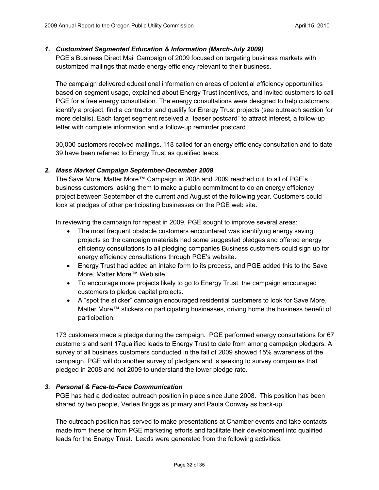### *1. Customized Segmented Education & Information (March-July 2009)*

PGE's Business Direct Mail Campaign of 2009 focused on targeting business markets with customized mailings that made energy efficiency relevant to their business.

The campaign delivered educational information on areas of potential efficiency opportunities based on segment usage, explained about Energy Trust incentives, and invited customers to call PGE for a free energy consultation. The energy consultations were designed to help customers identify a project, find a contractor and qualify for Energy Trust projects (see outreach section for more details). Each target segment received a "teaser postcard" to attract interest, a follow-up letter with complete information and a follow-up reminder postcard.

30,000 customers received mailings. 118 called for an energy efficiency consultation and to date 39 have been referred to Energy Trust as qualified leads.

### *2. Mass Market Campaign September-December 2009*

The Save More, Matter More™ Campaign in 2008 and 2009 reached out to all of PGE's business customers, asking them to make a public commitment to do an energy efficiency project between September of the current and August of the following year. Customers could look at pledges of other participating businesses on the PGE web site.

In reviewing the campaign for repeat in 2009, PGE sought to improve several areas:

- The most frequent obstacle customers encountered was identifying energy saving projects so the campaign materials had some suggested pledges and offered energy efficiency consultations to all pledging companies Business customers could sign up for energy efficiency consultations through PGE's website.
- Energy Trust had added an intake form to its process, and PGE added this to the Save More, Matter More™ Web site.
- To encourage more projects likely to go to Energy Trust, the campaign encouraged customers to pledge capital projects.
- A "spot the sticker" campaign encouraged residential customers to look for Save More, Matter More™ stickers on participating businesses, driving home the business benefit of participation.

173 customers made a pledge during the campaign. PGE performed energy consultations for 67 customers and sent 17qualified leads to Energy Trust to date from among campaign pledgers. A survey of all business customers conducted in the fall of 2009 showed 15% awareness of the campaign. PGE will do another survey of pledgers and is seeking to survey companies that pledged in 2008 and not 2009 to understand the lower pledge rate.

# *3. Personal & Face-to-Face Communication*

PGE has had a dedicated outreach position in place since June 2008. This position has been shared by two people, Verlea Briggs as primary and Paula Conway as back-up.

The outreach position has served to make presentations at Chamber events and take contacts made from these or from PGE marketing efforts and facilitate their development into qualified leads for the Energy Trust. Leads were generated from the following activities: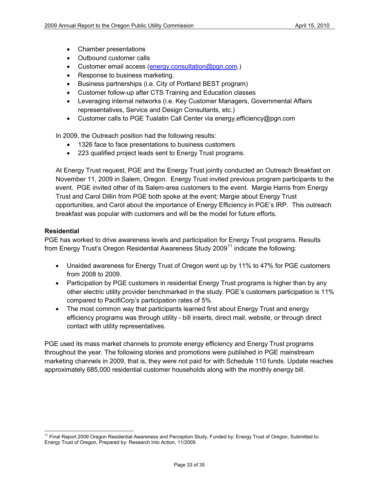- Chamber presentations
- Outbound customer calls
- Customer email access [\(energy.consultation@pgn.com.](mailto:energy.efficiency@pgn.com))
- Response to business marketing.
- Business partnerships (i.e. City of Portland BEST program)
- Customer follow-up after CTS Training and Education classes
- Leveraging internal networks (i.e. Key Customer Managers, Governmental Affairs representatives, Service and Design Consultants, etc.)
- Customer calls to PGE Tualatin Call Center via energy.efficiency@pgn.com

In 2009, the Outreach position had the following results:

- 1326 face to face presentations to business customers
- 223 qualified project leads sent to Energy Trust programs.

At Energy Trust request, PGE and the Energy Trust jointly conducted an Outreach Breakfast on November 11, 2009 in Salem, Oregon. Energy Trust invited previous program participants to the event. PGE invited other of its Salem-area customers to the event. Margie Harris from Energy Trust and Carol Dillin from PGE both spoke at the event; Margie about Energy Trust opportunities, and Carol about the importance of Energy Efficiency in PGE's IRP. This outreach breakfast was popular with customers and will be the model for future efforts.

### **Residential**

PGE has worked to drive awareness levels and participation for Energy Trust programs. Results from Energy Trust's Oregon Residential Awareness Study 2009 $^{11}$  $^{11}$  $^{11}$  indicate the following:

- Unaided awareness for Energy Trust of Oregon went up by 11% to 47% for PGE customers from 2008 to 2009.
- Participation by PGE customers in residential Energy Trust programs is higher than by any other electric utility provider benchmarked in the study. PGE's customers participation is 11% compared to PacifiCorp's participation rates of 5%.
- The most common way that participants learned first about Energy Trust and energy efficiency programs was through utility - bill inserts, direct mail, website, or through direct contact with utility representatives.

PGE used its mass market channels to promote energy efficiency and Energy Trust programs throughout the year. The following stories and promotions were published in PGE mainstream marketing channels in 2009, that is, they were not paid for with Schedule 110 funds. Update reaches approximately 685,000 residential customer households along with the monthly energy bill.

<span id="page-32-0"></span><sup>&</sup>lt;sup>11</sup> Final Report 2009 Oregon Residential Awareness and Perception Study, Funded by: Energy Trust of Oregon, Submitted to: Energy Trust of Oregon, Prepared by: Research Into Action, 11/2009.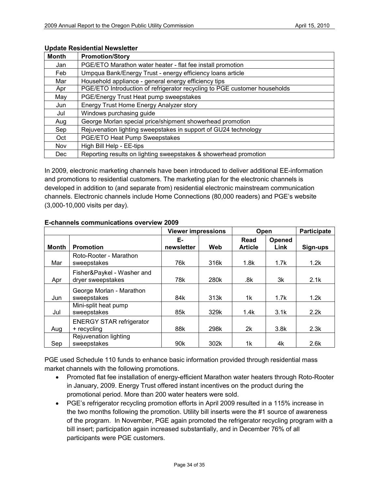| <b>Month</b> | <b>Promotion/Story</b>                                                    |
|--------------|---------------------------------------------------------------------------|
| Jan          | PGE/ETO Marathon water heater - flat fee install promotion                |
| Feb          | Umpqua Bank/Energy Trust - energy efficiency loans article                |
| Mar          | Household appliance - general energy efficiency tips                      |
| Apr          | PGE/ETO Introduction of refrigerator recycling to PGE customer households |
| May          | PGE/Energy Trust Heat pump sweepstakes                                    |
| Jun          | Energy Trust Home Energy Analyzer story                                   |
| Jul          | Windows purchasing guide                                                  |
| Aug          | George Morlan special price/shipment showerhead promotion                 |
| Sep          | Rejuvenation lighting sweepstakes in support of GU24 technology           |
| Oct          | PGE/ETO Heat Pump Sweepstakes                                             |
| Nov          | High Bill Help - EE-tips                                                  |
| <b>Dec</b>   | Reporting results on lighting sweepstakes & showerhead promotion          |

### **Update Residential Newsletter**

In 2009, electronic marketing channels have been introduced to deliver additional EE-information and promotions to residential customers. The marketing plan for the electronic channels is developed in addition to (and separate from) residential electronic mainstream communication channels. Electronic channels include Home Connections (80,000 readers) and PGE's website (3,000-10,000 visits per day).

|              |                                                 | <b>Viewer impressions</b> |      | Open                   |                | <b>Participate</b> |
|--------------|-------------------------------------------------|---------------------------|------|------------------------|----------------|--------------------|
| <b>Month</b> | <b>Promotion</b>                                | Е-<br>newsletter          | Web  | Read<br><b>Article</b> | Opened<br>Link | Sign-ups           |
| Mar          | Roto-Rooter - Marathon<br>sweepstakes           | 76k                       | 316k | 1.8k                   | 1.7k           | 1.2k               |
| Apr          | Fisher&Paykel - Washer and<br>dryer sweepstakes | 78k                       | 280k | .8k                    | 3k             | 2.1k               |
| Jun          | George Morlan - Marathon<br>sweepstakes         | 84k                       | 313k | 1k                     | 1.7k           | 1.2k               |
| Jul          | Mini-split heat pump<br>sweepstakes             | 85k                       | 329k | 1.4k                   | 3.1k           | 2.2k               |
| Aug          | <b>ENERGY STAR refrigerator</b><br>+ recycling  | 88k                       | 298k | 2k                     | 3.8k           | 2.3k               |
| Sep          | Rejuvenation lighting<br>sweepstakes            | 90 <sub>k</sub>           | 302k | 1k                     | 4k             | 2.6k               |

### **E-channels communications overview 2009**

PGE used Schedule 110 funds to enhance basic information provided through residential mass market channels with the following promotions.

- Promoted flat fee installation of energy-efficient Marathon water heaters through Roto-Rooter in January, 2009. Energy Trust offered instant incentives on the product during the promotional period. More than 200 water heaters were sold.
- PGE's refrigerator recycling promotion efforts in April 2009 resulted in a 115% increase in the two months following the promotion. Utility bill inserts were the #1 source of awareness of the program. In November, PGE again promoted the refrigerator recycling program with a bill insert; participation again increased substantially, and in December 76% of all participants were PGE customers.